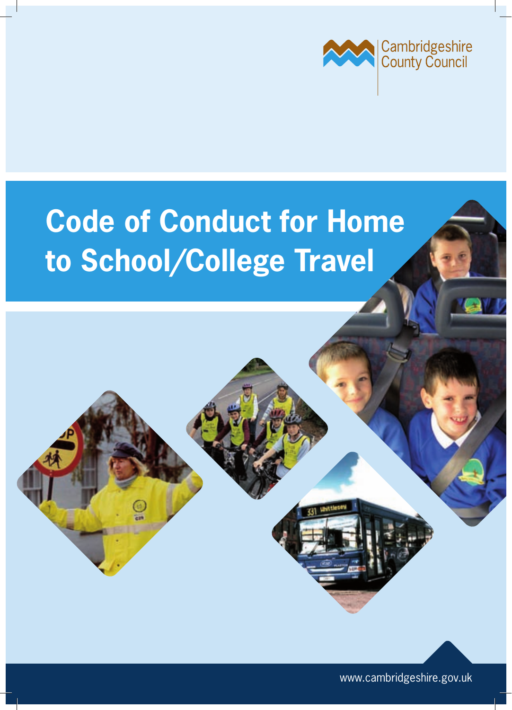

# **Code of Conduct for Home to School/College Travel**

www.cambridgeshire.gov.uk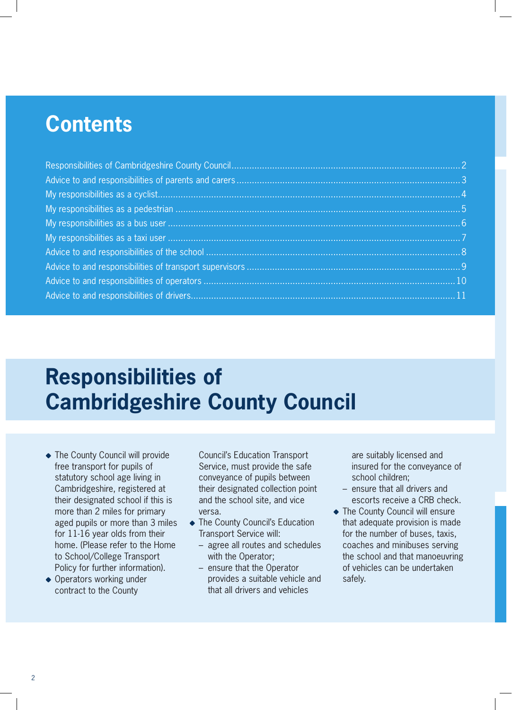### **Contents**

# **Responsibilities of Cambridgeshire County Council**

- The County Council will provide free transport for pupils of statutory school age living in Cambridgeshire, registered at their designated school if this is more than 2 miles for primary aged pupils or more than 3 miles for 11-16 year olds from their home. (Please refer to the Home to School/College Transport Policy for further information).
- ◆ Operators working under contract to the County

Council's Education Transport Service, must provide the safe conveyance of pupils between their designated collection point and the school site, and vice versa.

- ◆ The County Council's Education Transport Service will:
	- – agree all routes and schedules with the Operator;
	- – ensure that the Operator provides a suitable vehicle and that all drivers and vehicles

are suitably licensed and insured for the conveyance of school children;

- ensure that all drivers and escorts receive a CRB check.
- ◆ The County Council will ensure that adequate provision is made for the number of buses, taxis, coaches and minibuses serving the school and that manoeuvring of vehicles can be undertaken safely.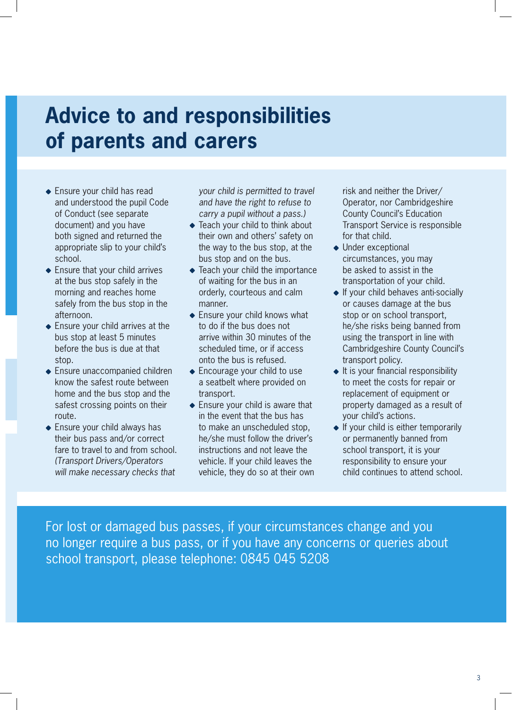# **Advice to and responsibilities of parents and carers**

- Ensure your child has read and understood the pupil Code of Conduct (see separate document) and you have both signed and returned the appropriate slip to your child's school.
- ◆ Ensure that your child arrives at the bus stop safely in the morning and reaches home safely from the bus stop in the afternoon.
- ◆ Ensure your child arrives at the bus stop at least 5 minutes before the bus is due at that stop.
- ◆ Ensure unaccompanied children know the safest route between home and the bus stop and the safest crossing points on their route.
- ◆ Ensure your child always has their bus pass and/or correct fare to travel to and from school. *(Transport Drivers/Operators will make necessary checks that*

*your child is permitted to travel and have the right to refuse to carry a pupil without a pass.)*

- ◆ Teach your child to think about their own and others' safety on the way to the bus stop, at the bus stop and on the bus.
- ◆ Teach your child the importance of waiting for the bus in an orderly, courteous and calm manner.
- ◆ Ensure your child knows what to do if the bus does not arrive within 30 minutes of the scheduled time, or if access onto the bus is refused.
- ◆ Encourage your child to use a seatbelt where provided on transport.
- ◆ Ensure your child is aware that in the event that the bus has to make an unscheduled stop, he/she must follow the driver's instructions and not leave the vehicle. If your child leaves the vehicle, they do so at their own

risk and neither the Driver/ Operator, nor Cambridgeshire County Council's Education Transport Service is responsible for that child.

- ◆ Under exceptional circumstances, you may be asked to assist in the transportation of your child.
- $\bullet$  If your child behaves anti-socially or causes damage at the bus stop or on school transport, he/she risks being banned from using the transport in line with Cambridgeshire County Council's transport policy.
- $\bullet$  It is your financial responsibility to meet the costs for repair or replacement of equipment or property damaged as a result of your child's actions.
- $\bullet$  If your child is either temporarily or permanently banned from school transport, it is your responsibility to ensure your child continues to attend school.

For lost or damaged bus passes, if your circumstances change and you no longer require a bus pass, or if you have any concerns or queries about school transport, please telephone: 0845 045 5208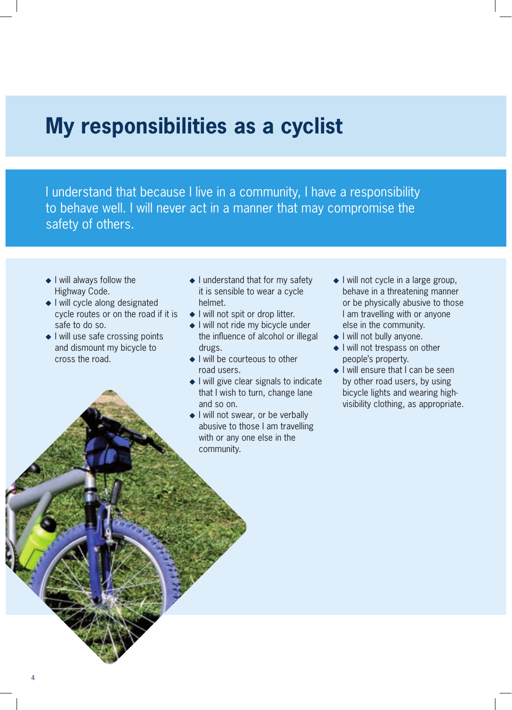### **My responsibilities as a cyclist**

I understand that because I live in a community, I have a responsibility to behave well. I will never act in a manner that may compromise the safety of others.

- I will always follow the Highway Code.
- $\bullet$  I will cycle along designated cycle routes or on the road if it is safe to do so.
- $\bullet$  I will use safe crossing points and dismount my bicycle to cross the road.
- $\bullet$  I understand that for my safety it is sensible to wear a cycle helmet.
- ◆ I will not spit or drop litter.
- ◆ I will not ride my bicycle under the influence of alcohol or illegal drugs.
- I will be courteous to other road users.
- ◆ I will give clear signals to indicate that I wish to turn, change lane and so on.
- I will not swear, or be verbally abusive to those I am travelling with or any one else in the community.
- ◆ I will not cycle in a large group, behave in a threatening manner or be physically abusive to those I am travelling with or anyone else in the community.
- ◆ I will not bully anyone.
- $\bullet$  I will not trespass on other people's property.
- ◆ I will ensure that I can be seen by other road users, by using bicycle lights and wearing highvisibility clothing, as appropriate.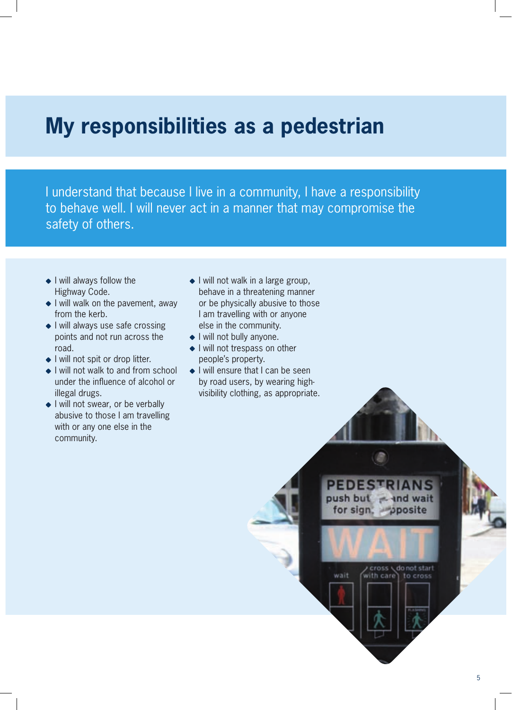### **My responsibilities as a pedestrian**

I understand that because I live in a community, I have a responsibility to behave well. I will never act in a manner that may compromise the safety of others.

- $\bullet$  I will always follow the Highway Code.
- I will walk on the pavement, away from the kerb.
- I will always use safe crossing points and not run across the road.
- ◆ I will not spit or drop litter.
- ◆ I will not walk to and from school under the influence of alcohol or illegal drugs.
- I will not swear, or be verbally abusive to those I am travelling with or any one else in the community.
- $\bullet$  I will not walk in a large group, behave in a threatening manner or be physically abusive to those I am travelling with or anyone else in the community.
- ◆ I will not bully anyone.
- ◆ I will not trespass on other people's property.
- ◆ I will ensure that I can be seen by road users, by wearing highvisibility clothing, as appropriate.

**PEDESTRIANS** push but = and wait

ith care

posite

cross \donot start

to cross

for sign.

vait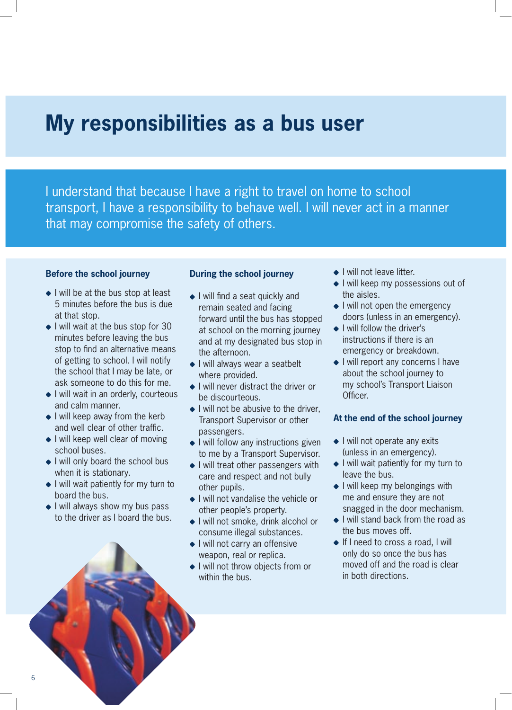### **My responsibilities as a bus user**

I understand that because I have a right to travel on home to school transport, I have a responsibility to behave well. I will never act in a manner that may compromise the safety of others.

#### **Before the school journey**

- $\bullet$  I will be at the bus stop at least 5 minutes before the bus is due at that stop.
- $\bullet$  I will wait at the bus stop for 30 minutes before leaving the bus stop to find an alternative means of getting to school. I will notify the school that I may be late, or ask someone to do this for me.
- I will wait in an orderly, courteous and calm manner.
- $\bullet$  I will keep away from the kerb and well clear of other traffic.
- $\bullet$  I will keep well clear of moving school buses.
- I will only board the school bus when it is stationary.
- ◆ I will wait patiently for my turn to board the bus.
- $\bullet$  I will always show my bus pass to the driver as I board the bus.

#### **During the school journey**

- ◆ I will find a seat quickly and remain seated and facing forward until the bus has stopped at school on the morning journey and at my designated bus stop in the afternoon.
- ◆ I will always wear a seatbelt where provided.
- $\bullet$  I will never distract the driver or be discourteous.
- $\bullet$  I will not be abusive to the driver, Transport Supervisor or other passengers.
- $\bullet$  I will follow any instructions given to me by a Transport Supervisor.
- $\bullet$  I will treat other passengers with care and respect and not bully other pupils.
- ◆ I will not vandalise the vehicle or other people's property.
- I will not smoke, drink alcohol or consume illegal substances.
- ◆ I will not carry an offensive weapon, real or replica.
- ◆ I will not throw objects from or within the bus.
- ◆ I will not leave litter.
- ◆ I will keep my possessions out of the aisles.
- $\bullet$  I will not open the emergency doors (unless in an emergency).
- $\bullet$  I will follow the driver's instructions if there is an emergency or breakdown.
- ◆ I will report any concerns I have about the school journey to my school's Transport Liaison Officer.

#### **At the end of the school journey**

- $\bullet$  I will not operate any exits (unless in an emergency).
- ◆ I will wait patiently for my turn to leave the bus.
- $\bullet$  I will keep my belongings with me and ensure they are not snagged in the door mechanism.
- ◆ I will stand back from the road as the bus moves off.
- ◆ If I need to cross a road, I will only do so once the bus has moved off and the road is clear in both directions.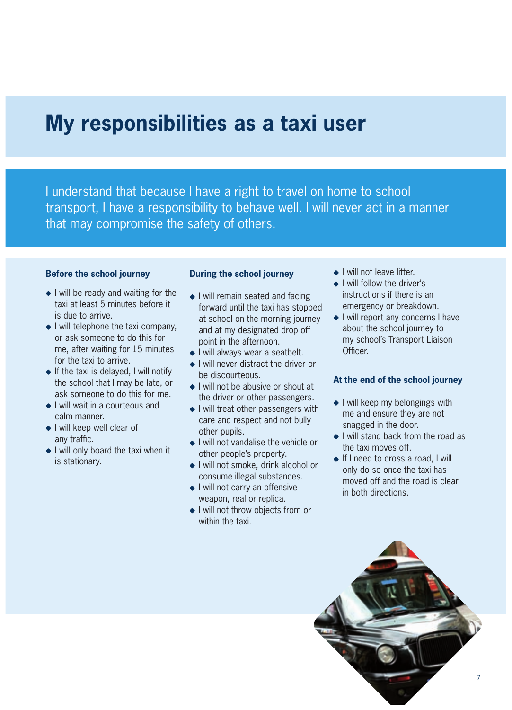### **My responsibilities as a taxi user**

I understand that because I have a right to travel on home to school transport, I have a responsibility to behave well. I will never act in a manner that may compromise the safety of others.

#### **Before the school journey**

- $\bullet$  I will be ready and waiting for the taxi at least 5 minutes before it is due to arrive.
- $\bullet$  I will telephone the taxi company, or ask someone to do this for me, after waiting for 15 minutes for the taxi to arrive.
- $\bullet$  If the taxi is delayed, I will notify the school that I may be late, or ask someone to do this for me.
- ◆ I will wait in a courteous and calm manner.
- ◆ I will keep well clear of any traffic.
- ◆ I will only board the taxi when it is stationary.

#### **During the school journey**

- ◆ I will remain seated and facing forward until the taxi has stopped at school on the morning journey and at my designated drop off point in the afternoon.
- ◆ I will always wear a seatbelt.
- ◆ I will never distract the driver or be discourteous.
- $\bullet$  I will not be abusive or shout at the driver or other passengers.
- ◆ I will treat other passengers with care and respect and not bully other pupils.
- ◆ I will not vandalise the vehicle or other people's property.
- ◆ I will not smoke, drink alcohol or consume illegal substances.
- ◆ I will not carry an offensive weapon, real or replica.
- ◆ I will not throw objects from or within the taxi.
- ◆ I will not leave litter.
- ◆ I will follow the driver's instructions if there is an emergency or breakdown.
- ◆ I will report any concerns I have about the school journey to my school's Transport Liaison Officer.

#### **At the end of the school journey**

- $\bullet$  I will keep my belongings with me and ensure they are not snagged in the door.
- $\bullet$  I will stand back from the road as the taxi moves off.
- ◆ If I need to cross a road, I will only do so once the taxi has moved off and the road is clear in both directions.

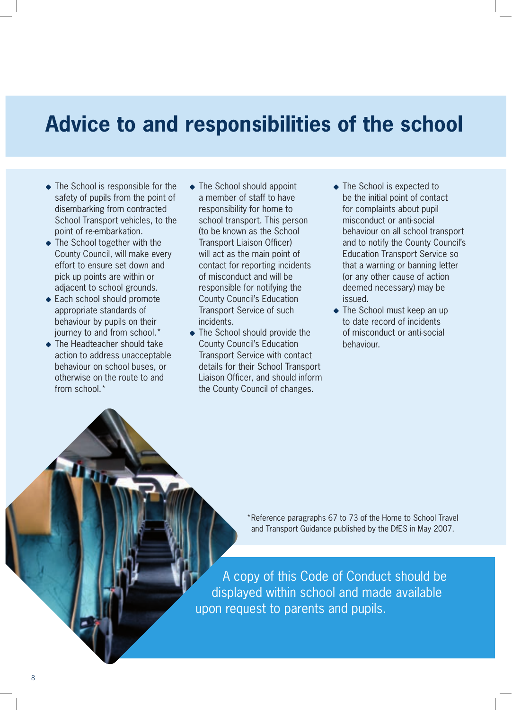# **Advice to and responsibilities of the school**

- The School is responsible for the safety of pupils from the point of disembarking from contracted School Transport vehicles, to the point of re-embarkation.
- ◆ The School together with the County Council, will make every effort to ensure set down and pick up points are within or adjacent to school grounds.
- ◆ Each school should promote appropriate standards of behaviour by pupils on their journey to and from school.\*
- ◆ The Headteacher should take action to address unacceptable behaviour on school buses, or otherwise on the route to and from school.\*
- ◆ The School should appoint a member of staff to have responsibility for home to school transport. This person (to be known as the School Transport Liaison Officer) will act as the main point of contact for reporting incidents of misconduct and will be responsible for notifying the County Council's Education Transport Service of such incidents.
- ◆ The School should provide the County Council's Education Transport Service with contact details for their School Transport Liaison Officer, and should inform the County Council of changes.
- ◆ The School is expected to be the initial point of contact for complaints about pupil misconduct or anti-social behaviour on all school transport and to notify the County Council's Education Transport Service so that a warning or banning letter (or any other cause of action deemed necessary) may be issued.
- ◆ The School must keep an up to date record of incidents of misconduct or anti-social behaviour.

\* Reference paragraphs 67 to 73 of the Home to School Travel and Transport Guidance published by the DfES in May 2007.

A copy of this Code of Conduct should be displayed within school and made available upon request to parents and pupils.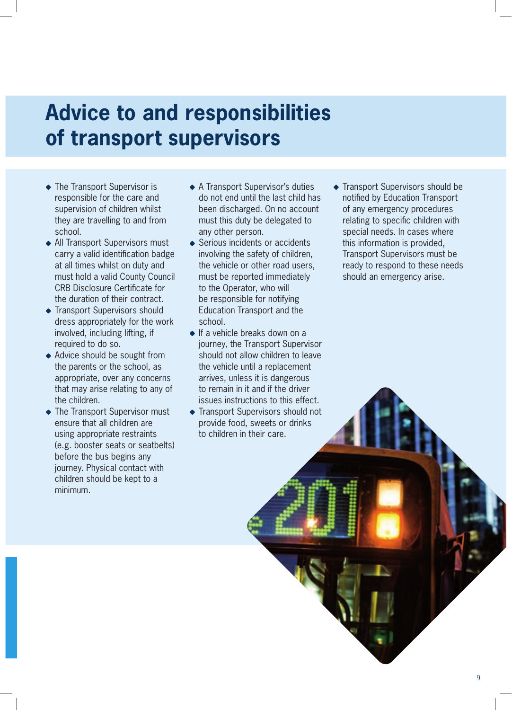# **Advice to and responsibilities of transport supervisors**

- ◆ The Transport Supervisor is responsible for the care and supervision of children whilst they are travelling to and from school.
- ◆ All Transport Supervisors must carry a valid identification badge at all times whilst on duty and must hold a valid County Council CRB Disclosure Certificate for the duration of their contract.
- **Transport Supervisors should** dress appropriately for the work involved, including lifting, if required to do so.
- ◆ Advice should be sought from the parents or the school, as appropriate, over any concerns that may arise relating to any of the children.
- ◆ The Transport Supervisor must ensure that all children are using appropriate restraints (e.g. booster seats or seatbelts) before the bus begins any journey. Physical contact with children should be kept to a minimum.
- ◆ A Transport Supervisor's duties do not end until the last child has been discharged. On no account must this duty be delegated to any other person.
- ◆ Serious incidents or accidents involving the safety of children, the vehicle or other road users, must be reported immediately to the Operator, who will be responsible for notifying Education Transport and the school.
- ◆ If a vehicle breaks down on a journey, the Transport Supervisor should not allow children to leave the vehicle until a replacement arrives, unless it is dangerous to remain in it and if the driver issues instructions to this effect.
- ◆ Transport Supervisors should not provide food, sweets or drinks to children in their care.

**Transport Supervisors should be** notified by Education Transport of any emergency procedures relating to specific children with special needs. In cases where this information is provided, Transport Supervisors must be ready to respond to these needs should an emergency arise.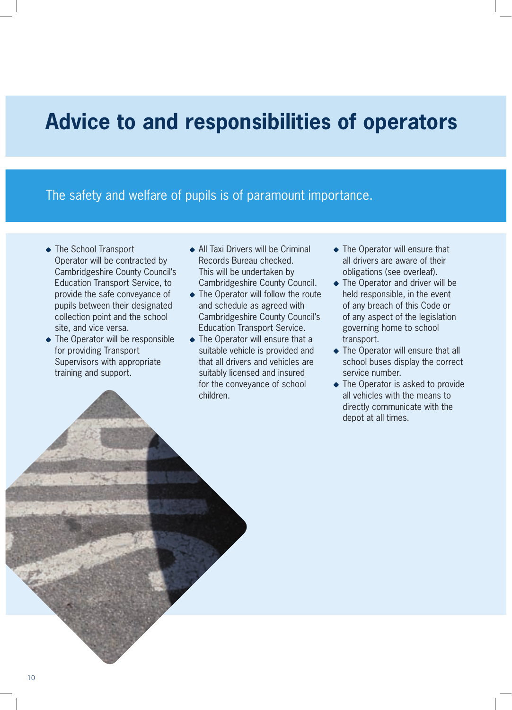### **Advice to and responsibilities of operators**

The safety and welfare of pupils is of paramount importance.

- ◆ The School Transport Operator will be contracted by Cambridgeshire County Council's Education Transport Service, to provide the safe conveyance of pupils between their designated collection point and the school site, and vice versa.
- The Operator will be responsible for providing Transport Supervisors with appropriate training and support.
- ◆ All Taxi Drivers will be Criminal Records Bureau checked. This will be undertaken by Cambridgeshire County Council.
- $\triangle$  The Operator will follow the route and schedule as agreed with Cambridgeshire County Council's Education Transport Service.
- The Operator will ensure that a suitable vehicle is provided and that all drivers and vehicles are suitably licensed and insured for the conveyance of school children.
- The Operator will ensure that all drivers are aware of their obligations (see overleaf).
- ◆ The Operator and driver will be held responsible, in the event of any breach of this Code or of any aspect of the legislation governing home to school transport.
- $\triangle$  The Operator will ensure that all school buses display the correct service number.
- The Operator is asked to provide all vehicles with the means to directly communicate with the depot at all times.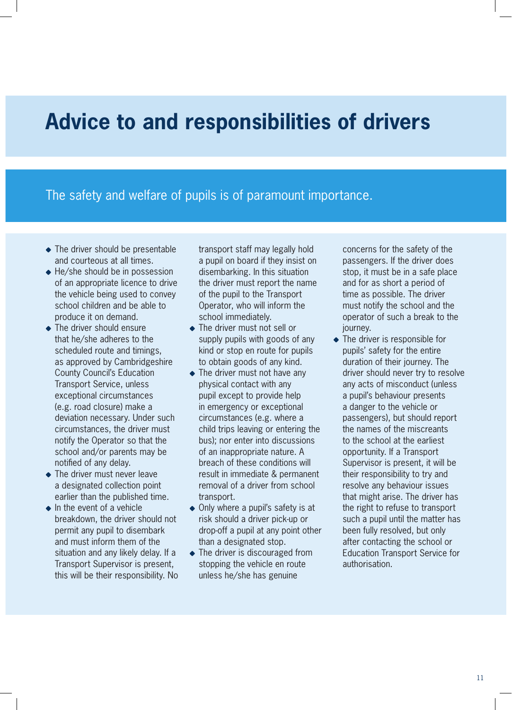# **Advice to and responsibilities of drivers**

### The safety and welfare of pupils is of paramount importance.

- ◆ The driver should be presentable and courteous at all times.
- $\triangle$  He/she should be in possession of an appropriate licence to drive the vehicle being used to convey school children and be able to produce it on demand.
- The driver should ensure that he/she adheres to the scheduled route and timings, as approved by Cambridgeshire County Council's Education Transport Service, unless exceptional circumstances (e.g. road closure) make a deviation necessary. Under such circumstances, the driver must notify the Operator so that the school and/or parents may be notified of any delay.
- The driver must never leave a designated collection point earlier than the published time.
- $\bullet$  In the event of a vehicle breakdown, the driver should not permit any pupil to disembark and must inform them of the situation and any likely delay. If a Transport Supervisor is present, this will be their responsibility. No

transport staff may legally hold a pupil on board if they insist on disembarking. In this situation the driver must report the name of the pupil to the Transport Operator, who will inform the school immediately.

- The driver must not sell or supply pupils with goods of any kind or stop en route for pupils to obtain goods of any kind.
- The driver must not have any physical contact with any pupil except to provide help in emergency or exceptional circumstances (e.g. where a child trips leaving or entering the bus); nor enter into discussions of an inappropriate nature. A breach of these conditions will result in immediate & permanent removal of a driver from school transport.
- Only where a pupil's safety is at risk should a driver pick-up or drop-off a pupil at any point other than a designated stop.
- The driver is discouraged from stopping the vehicle en route unless he/she has genuine

concerns for the safety of the passengers. If the driver does stop, it must be in a safe place and for as short a period of time as possible. The driver must notify the school and the operator of such a break to the journey.

• The driver is responsible for pupils' safety for the entire duration of their journey. The driver should never try to resolve any acts of misconduct (unless a pupil's behaviour presents a danger to the vehicle or passengers), but should report the names of the miscreants to the school at the earliest opportunity. If a Transport Supervisor is present, it will be their responsibility to try and resolve any behaviour issues that might arise. The driver has the right to refuse to transport such a pupil until the matter has been fully resolved, but only after contacting the school or Education Transport Service for authorisation.